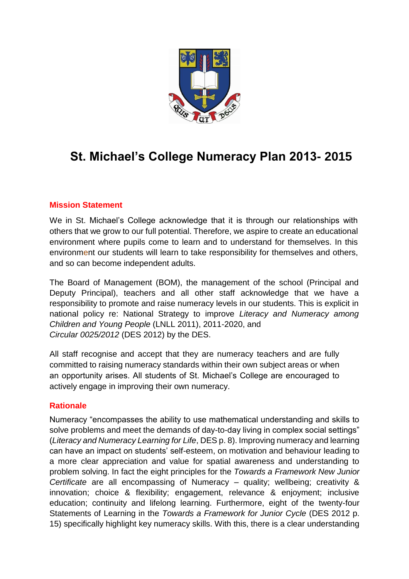

# **St. Michael's College Numeracy Plan 2013- 2015**

#### **Mission Statement**

We in St. Michael's College acknowledge that it is through our relationships with others that we grow to our full potential. Therefore, we aspire to create an educational environment where pupils come to learn and to understand for themselves. In this environment our students will learn to take responsibility for themselves and others, and so can become independent adults.

The Board of Management (BOM), the management of the school (Principal and Deputy Principal), teachers and all other staff acknowledge that we have a responsibility to promote and raise numeracy levels in our students. This is explicit in national policy re: National Strategy to improve *Literacy and Numeracy among Children and Young People* (LNLL 2011), 2011-2020, and *Circular 0025/2012* (DES 2012) by the DES.

All staff recognise and accept that they are numeracy teachers and are fully committed to raising numeracy standards within their own subject areas or when an opportunity arises. All students of St. Michael's College are encouraged to actively engage in improving their own numeracy.

#### **Rationale**

Numeracy "encompasses the ability to use mathematical understanding and skills to solve problems and meet the demands of day-to-day living in complex social settings" (*Literacy and Numeracy Learning for Life*, DES p. 8). Improving numeracy and learning can have an impact on students' self-esteem, on motivation and behaviour leading to a more clear appreciation and value for spatial awareness and understanding to problem solving. In fact the eight principles for the *Towards a Framework New Junior Certificate* are all encompassing of Numeracy – quality; wellbeing; creativity & innovation; choice & flexibility; engagement, relevance & enjoyment; inclusive education; continuity and lifelong learning. Furthermore, eight of the twenty-four Statements of Learning in the *Towards a Framework for Junior Cycle* (DES 2012 p. 15) specifically highlight key numeracy skills. With this, there is a clear understanding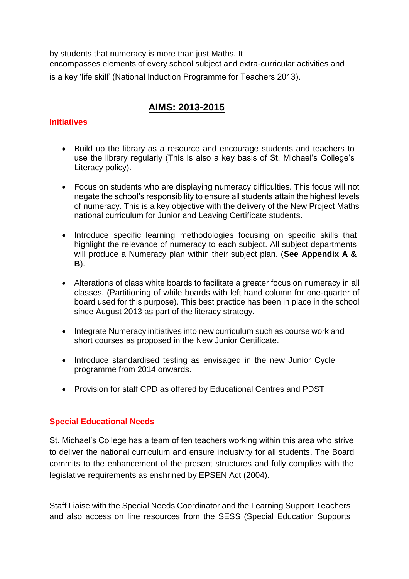by students that numeracy is more than just Maths. It encompasses elements of every school subject and extra-curricular activities and is a key 'life skill' (National Induction Programme for Teachers 2013).

## **AIMS: 2013-2015**

#### **Initiatives**

- Build up the library as a resource and encourage students and teachers to use the library regularly (This is also a key basis of St. Michael's College's Literacy policy).
- Focus on students who are displaying numeracy difficulties. This focus will not negate the school's responsibility to ensure all students attain the highest levels of numeracy. This is a key objective with the delivery of the New Project Maths national curriculum for Junior and Leaving Certificate students.
- Introduce specific learning methodologies focusing on specific skills that highlight the relevance of numeracy to each subject. All subject departments will produce a Numeracy plan within their subject plan. (**See Appendix A & B**).
- Alterations of class white boards to facilitate a greater focus on numeracy in all classes. (Partitioning of while boards with left hand column for one-quarter of board used for this purpose). This best practice has been in place in the school since August 2013 as part of the literacy strategy.
- Integrate Numeracy initiatives into new curriculum such as course work and short courses as proposed in the New Junior Certificate.
- Introduce standardised testing as envisaged in the new Junior Cycle programme from 2014 onwards.
- Provision for staff CPD as offered by Educational Centres and PDST

#### **Special Educational Needs**

St. Michael's College has a team of ten teachers working within this area who strive to deliver the national curriculum and ensure inclusivity for all students. The Board commits to the enhancement of the present structures and fully complies with the legislative requirements as enshrined by EPSEN Act (2004).

Staff Liaise with the Special Needs Coordinator and the Learning Support Teachers and also access on line resources from the SESS (Special Education Supports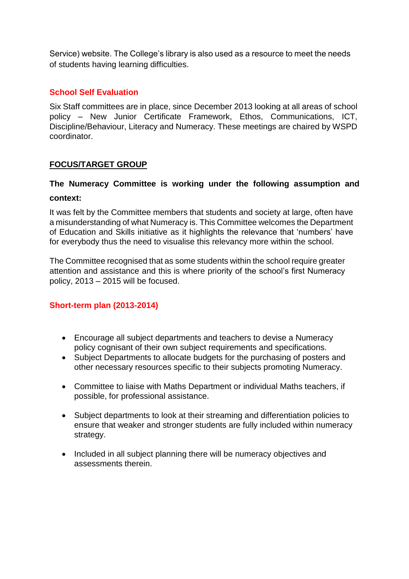Service) website. The College's library is also used as a resource to meet the needs of students having learning difficulties.

#### **School Self Evaluation**

Six Staff committees are in place, since December 2013 looking at all areas of school policy – New Junior Certificate Framework, Ethos, Communications, ICT, Discipline/Behaviour, Literacy and Numeracy. These meetings are chaired by WSPD coordinator.

#### **FOCUS/TARGET GROUP**

### **The Numeracy Committee is working under the following assumption and context:**

It was felt by the Committee members that students and society at large, often have a misunderstanding of what Numeracy is. This Committee welcomes the Department of Education and Skills initiative as it highlights the relevance that 'numbers' have for everybody thus the need to visualise this relevancy more within the school.

The Committee recognised that as some students within the school require greater attention and assistance and this is where priority of the school's first Numeracy policy, 2013 – 2015 will be focused.

#### **Short-term plan (2013-2014)**

- Encourage all subject departments and teachers to devise a Numeracy policy cognisant of their own subject requirements and specifications.
- Subject Departments to allocate budgets for the purchasing of posters and other necessary resources specific to their subjects promoting Numeracy.
- Committee to liaise with Maths Department or individual Maths teachers, if possible, for professional assistance.
- Subject departments to look at their streaming and differentiation policies to ensure that weaker and stronger students are fully included within numeracy strategy.
- Included in all subject planning there will be numeracy objectives and assessments therein.